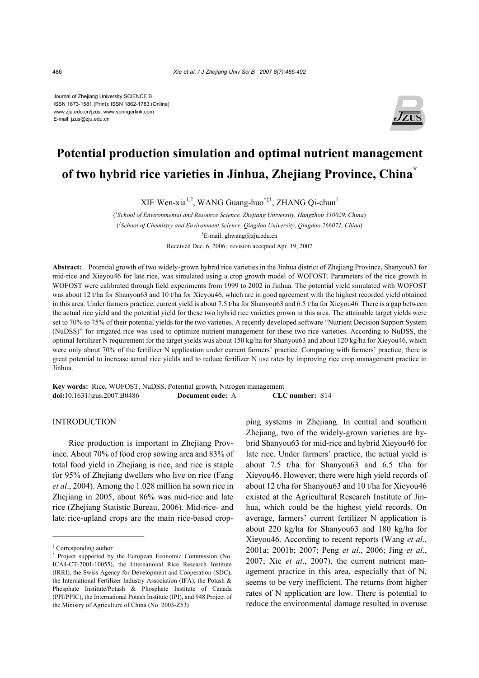Journal of Zhejiang University SCIENCE B ISSN 1673-1581 (Print); ISSN 1862-1783 (Online) www.zju.edu.cn/jzus; www.springerlink.com E-mail: jzus@zju.edu.cn



# **Potential production simulation and optimal nutrient management of two hybrid rice varieties in Jinhua, Zhejiang Province, China\***

XIE Wen-xia<sup>1,2</sup>, WANG Guang-huo<sup>†‡1</sup>, ZHANG Oi-chun<sup>1</sup>

( *1 School of Environmental and Resource Science, Zhejiang University, Hangzhou 310029, China*) ( *2 School of Chemistry and Environment Science, Qingdao University, Qingdao 266071, China*) † E-mail: ghwang@zju.edu.cn Received Dec. 6, 2006; revision accepted Apr. 19, 2007

**Abstract:** Potential growth of two widely-grown hybrid rice varieties in the Jinhua district of Zhejiang Province, Shanyou63 for mid-rice and Xieyou46 for late rice, was simulated using a crop growth model of WOFOST. Parameters of the rice growth in WOFOST were calibrated through field experiments from 1999 to 2002 in Jinhua. The potential yield simulated with WOFOST was about 12 t/ha for Shanyou63 and 10 t/ha for Xieyou46, which are in good agreement with the highest recorded yield obtained in this area. Under farmers practice, current yield is about 7.5 t/ha for Shanyou63 and 6.5 t/ha for Xieyou46. There is a gap between the actual rice yield and the potential yield for these two hybrid rice varieties grown in this area. The attainable target yields were set to 70% to 75% of their potential yields for the two varieties. A recently developed software "Nutrient Decision Support System (NuDSS)" for irrigated rice was used to optimize nutrient management for these two rice varieties. According to NuDSS, the optimal fertilizer N requirement for the target yields was about 150 kg/ha for Shanyou63 and about 120 kg/ha for Xieyou46, which were only about 70% of the fertilizer N application under current farmers' practice. Comparing with farmers' practice, there is great potential to increase actual rice yields and to reduce fertilizer N use rates by improving rice crop management practice in Jinhua.

**Key words:** Rice, WOFOST, NuDSS, Potential growth, Nitrogen management **doi:**10.1631/jzus.2007.B0486 **Document code:** A **CLC number:** S14

## **INTRODUCTION**

Rice production is important in Zhejiang Province. About 70% of food crop sowing area and 83% of total food yield in Zhejiang is rice, and rice is staple for 95% of Zhejiang dwellers who live on rice (Fang *et al*., 2004). Among the 1.028 million ha sown rice in Zhejiang in 2005, about 86% was mid-rice and late rice (Zhejiang Statistic Bureau, 2006). Mid-rice- and late rice-upland crops are the main rice-based cropping systems in Zhejiang. In central and southern Zhejiang, two of the widely-grown varieties are hybrid Shanyou63 for mid-rice and hybrid Xieyou46 for late rice. Under farmers' practice, the actual yield is about 7.5 t/ha for Shanyou63 and 6.5 t/ha for Xieyou46. However, there were high yield records of about 12 t/ha for Shanyou63 and 10 t/ha for Xieyou46 existed at the Agricultural Research Institute of Jinhua, which could be the highest yield records. On average, farmers' current fertilizer N application is about 220 kg/ha for Shanyou63 and 180 kg/ha for Xieyou46. According to recent reports (Wang *et al*., 2001a; 2001b; 2007; Peng *et al*., 2006; Jing *et al*., 2007; Xie *et al*., 2007), the current nutrient management practice in this area, especially that of N, seems to be very inefficient. The returns from higher rates of N application are low. There is potential to reduce the environmental damage resulted in overuse

<sup>‡</sup> Corresponding author

<sup>\*</sup> Project supported by the European Economic Commission (No. ICA4-CT-2001-10055), the International Rice Research Institute (IRRI), the Swiss Agency for Development and Cooperation (SDC), the International Fertilizer Industry Association (IFA), the Potash & Phosphate Institute/Potash & Phosphate Institute of Canada (PPI/PPIC), the International Potash Institute (IPI), and 948 Project of the Ministry of Agriculture of China (No. 2003-Z53)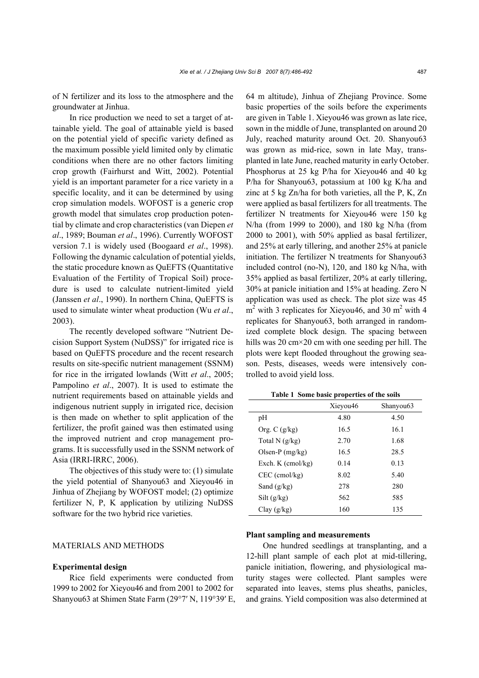of N fertilizer and its loss to the atmosphere and the groundwater at Jinhua.

In rice production we need to set a target of attainable yield. The goal of attainable yield is based on the potential yield of specific variety defined as the maximum possible yield limited only by climatic conditions when there are no other factors limiting crop growth (Fairhurst and Witt, 2002). Potential yield is an important parameter for a rice variety in a specific locality, and it can be determined by using crop simulation models. WOFOST is a generic crop growth model that simulates crop production potential by climate and crop characteristics (van Diepen *et al*., 1989; Bouman *et al*., 1996). Currently WOFOST version 7.1 is widely used (Boogaard *et al*., 1998). Following the dynamic calculation of potential yields, the static procedure known as QuEFTS (Quantitative Evaluation of the Fertility of Tropical Soil) procedure is used to calculate nutrient-limited yield (Janssen *et al*., 1990). In northern China, QuEFTS is used to simulate winter wheat production (Wu *et al*., 2003).

The recently developed software "Nutrient Decision Support System (NuDSS)" for irrigated rice is based on QuEFTS procedure and the recent research results on site-specific nutrient management (SSNM) for rice in the irrigated lowlands (Witt *et al*., 2005; Pampolino *et al*., 2007). It is used to estimate the nutrient requirements based on attainable yields and indigenous nutrient supply in irrigated rice, decision is then made on whether to split application of the fertilizer, the profit gained was then estimated using the improved nutrient and crop management programs. It is successfully used in the SSNM network of Asia (IRRI-IRRC, 2006).

The objectives of this study were to: (1) simulate the yield potential of Shanyou63 and Xieyou46 in Jinhua of Zhejiang by WOFOST model; (2) optimize fertilizer N, P, K application by utilizing NuDSS software for the two hybrid rice varieties.

## MATERIALS AND METHODS

## **Experimental design**

Rice field experiments were conducted from 1999 to 2002 for Xieyou46 and from 2001 to 2002 for Shanyou63 at Shimen State Farm (29°7′ N, 119°39′ E, 64 m altitude), Jinhua of Zhejiang Province. Some basic properties of the soils before the experiments are given in Table 1. Xieyou46 was grown as late rice, sown in the middle of June, transplanted on around 20 July, reached maturity around Oct. 20. Shanyou63 was grown as mid-rice, sown in late May, transplanted in late June, reached maturity in early October. Phosphorus at 25 kg P/ha for Xieyou46 and 40 kg P/ha for Shanyou63, potassium at 100 kg K/ha and zinc at 5 kg Zn/ha for both varieties, all the P, K, Zn were applied as basal fertilizers for all treatments. The fertilizer N treatments for Xieyou46 were 150 kg N/ha (from 1999 to 2000), and 180 kg N/ha (from 2000 to 2001), with 50% applied as basal fertilizer, and 25% at early tillering, and another 25% at panicle initiation. The fertilizer N treatments for Shanyou63 included control (no-N), 120, and 180 kg N/ha, with 35% applied as basal fertilizer, 20% at early tillering, 30% at panicle initiation and 15% at heading. Zero N application was used as check. The plot size was 45  $m<sup>2</sup>$  with 3 replicates for Xieyou46, and 30 m<sup>2</sup> with 4 replicates for Shanyou63, both arranged in randomized complete block design. The spacing between hills was 20 cm×20 cm with one seeding per hill. The plots were kept flooded throughout the growing season. Pests, diseases, weeds were intensively controlled to avoid yield loss.

|                     | Xieyou46 | Shanyou <sub>63</sub> |
|---------------------|----------|-----------------------|
| pН                  | 4.80     | 4.50                  |
| Org. $C$ (g/kg)     | 16.5     | 16.1                  |
| Total N $(g/kg)$    | 2.70     | 1.68                  |
| Olsen-P $(mg/kg)$   | 16.5     | 28.5                  |
| Exch. $K$ (cmol/kg) | 0.14     | 0.13                  |
| $CEC$ (cmol/kg)     | 8.02     | 5.40                  |
| Sand $(g/kg)$       | 278      | 280                   |
| Silt(g/kg)          | 562      | 585                   |
| Clav(g/kg)          | 160      | 135                   |

**Table 1 Some basic properties of the soils** 

## **Plant sampling and measurements**

One hundred seedlings at transplanting, and a 12-hill plant sample of each plot at mid-tillering, panicle initiation, flowering, and physiological maturity stages were collected. Plant samples were separated into leaves, stems plus sheaths, panicles, and grains. Yield composition was also determined at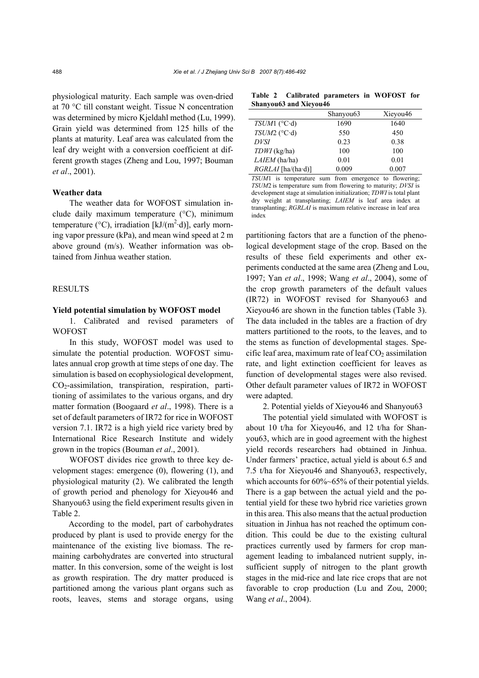physiological maturity. Each sample was oven-dried at 70 °C till constant weight. Tissue N concentration was determined by micro Kjeldahl method (Lu, 1999). Grain yield was determined from 125 hills of the plants at maturity. Leaf area was calculated from the leaf dry weight with a conversion coefficient at different growth stages (Zheng and Lou, 1997; Bouman *et al*., 2001).

## **Weather data**

The weather data for WOFOST simulation include daily maximum temperature (°C), minimum temperature (°C), irradiation [kJ/ $(m^2 \cdot d)$ ], early morning vapor pressure (kPa), and mean wind speed at 2 m above ground (m/s). Weather information was obtained from Jinhua weather station.

# **RESULTS**

#### **Yield potential simulation by WOFOST model**

1. Calibrated and revised parameters of **WOFOST** 

In this study, WOFOST model was used to simulate the potential production. WOFOST simulates annual crop growth at time steps of one day. The simulation is based on ecophysiological development,  $CO<sub>2</sub>$ -assimilation, transpiration, respiration, partitioning of assimilates to the various organs, and dry matter formation (Boogaard *et al*., 1998). There is a set of default parameters of IR72 for rice in WOFOST version 7.1. IR72 is a high yield rice variety bred by International Rice Research Institute and widely grown in the tropics (Bouman *et al*., 2001).

WOFOST divides rice growth to three key development stages: emergence (0), flowering (1), and physiological maturity (2). We calibrated the length of growth period and phenology for Xieyou46 and Shanyou63 using the field experiment results given in Table 2.

According to the model, part of carbohydrates produced by plant is used to provide energy for the maintenance of the existing live biomass. The remaining carbohydrates are converted into structural matter. In this conversion, some of the weight is lost as growth respiration. The dry matter produced is partitioned among the various plant organs such as roots, leaves, stems and storage organs, using

**Table 2 Calibrated parameters in WOFOST for Shanyou63 and Xieyou46**

|                     | Shanyou <sub>63</sub> | Xieyou46 |
|---------------------|-----------------------|----------|
| $TSUM1$ ( $°C d$ )  | 1690                  | 1640     |
| $TSUM2$ ( $°C d$ )  | 550                   | 450      |
| <b>DVSI</b>         | 0.23                  | 0.38     |
| $TDWI$ (kg/ha)      | 100                   | 100      |
| $LAIEM$ (ha/ha)     | 0.01                  | 0.01     |
| $RGLAI$ [ha/(ha·d)] | 0.009                 | 0.007    |

*TSUM*1 is temperature sum from emergence to flowering; *TSUM*2 is temperature sum from flowering to maturity; *DVSI* is development stage at simulation initialization; *TDWI* is total plant dry weight at transplanting; *LAIEM* is leaf area index at transplanting; *RGRLAI* is maximum relative increase in leaf area index

partitioning factors that are a function of the phenological development stage of the crop. Based on the results of these field experiments and other experiments conducted at the same area (Zheng and Lou, 1997; Yan *et al*., 1998; Wang *et al*., 2004), some of the crop growth parameters of the default values (IR72) in WOFOST revised for Shanyou63 and Xieyou46 are shown in the function tables (Table 3). The data included in the tables are a fraction of dry matters partitioned to the roots, to the leaves, and to the stems as function of developmental stages. Specific leaf area, maximum rate of leaf  $CO<sub>2</sub>$  assimilation rate, and light extinction coefficient for leaves as function of developmental stages were also revised. Other default parameter values of IR72 in WOFOST were adapted.

2. Potential yields of Xieyou46 and Shanyou63

The potential yield simulated with WOFOST is about 10 t/ha for Xieyou46, and 12 t/ha for Shanyou63, which are in good agreement with the highest yield records researchers had obtained in Jinhua. Under farmers' practice, actual yield is about 6.5 and 7.5 t/ha for Xieyou46 and Shanyou63, respectively, which accounts for  $60\%~65\%$  of their potential yields. There is a gap between the actual yield and the potential yield for these two hybrid rice varieties grown in this area. This also means that the actual production situation in Jinhua has not reached the optimum condition. This could be due to the existing cultural practices currently used by farmers for crop management leading to imbalanced nutrient supply, insufficient supply of nitrogen to the plant growth stages in the mid-rice and late rice crops that are not favorable to crop production (Lu and Zou, 2000; Wang *et al*., 2004).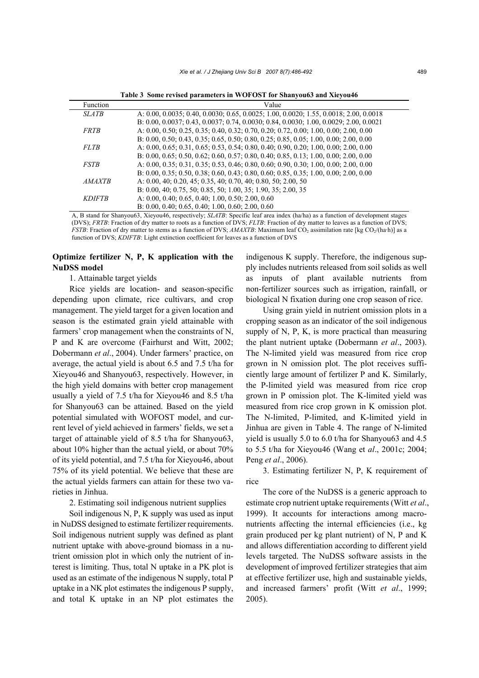**Table 3 Some revised parameters in WOFOST for Shanyou63 and Xieyou46** 

| Function      | Value                                                                                   |
|---------------|-----------------------------------------------------------------------------------------|
| <b>SLATB</b>  | A: 0.00, 0.0035; 0.40, 0.0030; 0.65, 0.0025; 1.00, 0.0020; 1.55, 0.0018; 2.00, 0.0018   |
|               | B: 0.00, 0.0037; 0.43, 0.0037; 0.74, 0.0030; 0.84, 0.0030; 1.00, 0.0029; 2.00, 0.0021   |
| <b>FRTB</b>   | A: 0.00, 0.50; 0.25, 0.35; 0.40, 0.32; 0.70, 0.20; 0.72, 0.00; 1.00, 0.00; 2.00, 0.00   |
|               | B: 0.00, 0.50; 0.43, 0.35; 0.65, 0.50; 0.80, 0.25; 0.85, 0.05; 1.00, 0.00; 2.00, 0.00   |
| <b>FLTB</b>   | A: $0.00, 0.65, 0.31, 0.65, 0.53, 0.54, 0.80, 0.40, 0.90, 0.20, 1.00, 0.00, 2.00, 0.00$ |
|               | B: 0.00, 0.65; 0.50, 0.62; 0.60, 0.57; 0.80, 0.40; 0.85, 0.13; 1.00, 0.00; 2.00, 0.00   |
| <b>FSTB</b>   | A: 0.00, 0.35; 0.31, 0.35; 0.53, 0.46; 0.80, 0.60; 0.90, 0.30; 1.00, 0.00; 2.00, 0.00   |
|               | B: 0.00, 0.35; 0.50, 0.38; 0.60, 0.43; 0.80, 0.60; 0.85, 0.35; 1.00, 0.00; 2.00, 0.00   |
| <b>AMAXTB</b> | A: 0.00, 40; 0.20, 45; 0.35, 40; 0.70, 40; 0.80, 50; 2.00, 50                           |
|               | B: 0.00, 40; 0.75, 50; 0.85, 50; 1.00, 35; 1.90, 35; 2.00, 35                           |
| <b>KDIFTB</b> | A: $0.00, 0.40, 0.65, 0.40, 1.00, 0.50, 2.00, 0.60$                                     |
|               | B: $0.00, 0.40, 0.65, 0.40, 1.00, 0.60, 2.00, 0.60$                                     |

A, B stand for Shanyou63, Xieyou46, respectively; *SLATB*: Specific leaf area index (ha/ha) as a function of development stages (DVS); *FRTB*: Fraction of dry matter to roots as a function of DVS; *FLTB*: Fraction of dry matter to leaves as a function of DVS; *FSTB*: Fraction of dry matter to stems as a function of DVS; *AMAXTB*: Maximum leaf CO<sub>2</sub> assimilation rate [kg CO<sub>2</sub>/(ha·h)] as a function of DVS; *KDIFTB*: Light extinction coefficient for leaves as a function of DVS

# **Optimize fertilizer N, P, K application with the NuDSS model**

# 1. Attainable target yields

Rice yields are location- and season-specific depending upon climate, rice cultivars, and crop management. The yield target for a given location and season is the estimated grain yield attainable with farmers' crop management when the constraints of N, P and K are overcome (Fairhurst and Witt, 2002; Dobermann *et al*., 2004). Under farmers' practice, on average, the actual yield is about 6.5 and 7.5 t/ha for Xieyou46 and Shanyou63, respectively. However, in the high yield domains with better crop management usually a yield of 7.5 t/ha for Xieyou46 and 8.5 t/ha for Shanyou63 can be attained. Based on the yield potential simulated with WOFOST model, and current level of yield achieved in farmers' fields, we set a target of attainable yield of 8.5 t/ha for Shanyou63, about 10% higher than the actual yield, or about 70% of its yield potential, and 7.5 t/ha for Xieyou46, about 75% of its yield potential. We believe that these are the actual yields farmers can attain for these two varieties in Jinhua.

### 2. Estimating soil indigenous nutrient supplies

Soil indigenous N, P, K supply was used as input in NuDSS designed to estimate fertilizer requirements. Soil indigenous nutrient supply was defined as plant nutrient uptake with above-ground biomass in a nutrient omission plot in which only the nutrient of interest is limiting. Thus, total N uptake in a PK plot is used as an estimate of the indigenous N supply, total P uptake in a NK plot estimates the indigenous P supply, and total K uptake in an NP plot estimates the

indigenous K supply. Therefore, the indigenous supply includes nutrients released from soil solids as well as inputs of plant available nutrients from non-fertilizer sources such as irrigation, rainfall, or biological N fixation during one crop season of rice.

Using grain yield in nutrient omission plots in a cropping season as an indicator of the soil indigenous supply of N, P, K, is more practical than measuring the plant nutrient uptake (Dobermann *et al*., 2003). The N-limited yield was measured from rice crop grown in N omission plot. The plot receives sufficiently large amount of fertilizer P and K. Similarly, the P-limited yield was measured from rice crop grown in P omission plot. The K-limited yield was measured from rice crop grown in K omission plot. The N-limited, P-limited, and K-limited yield in Jinhua are given in Table 4. The range of N-limited yield is usually 5.0 to 6.0 t/ha for Shanyou63 and 4.5 to 5.5 t/ha for Xieyou46 (Wang et *al*., 2001c; 2004; Peng *et al*., 2006).

3. Estimating fertilizer N, P, K requirement of rice

The core of the NuDSS is a generic approach to estimate crop nutrient uptake requirements (Witt *et al*., 1999). It accounts for interactions among macronutrients affecting the internal efficiencies (i.e., kg grain produced per kg plant nutrient) of N, P and K and allows differentiation according to different yield levels targeted. The NuDSS software assists in the development of improved fertilizer strategies that aim at effective fertilizer use, high and sustainable yields, and increased farmers' profit (Witt *et al*., 1999; 2005).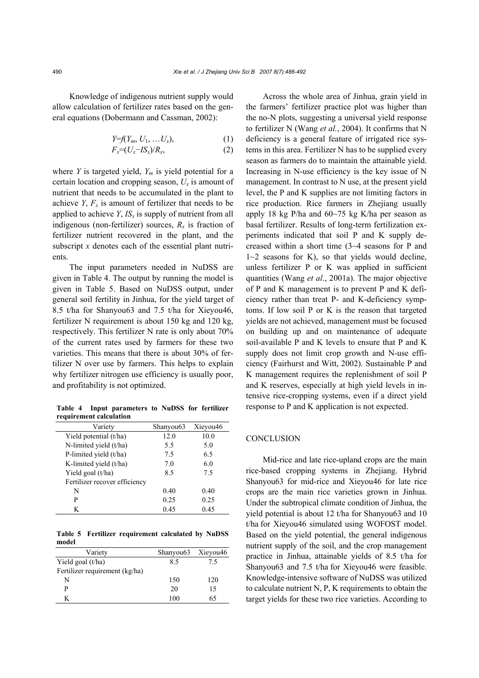Knowledge of indigenous nutrient supply would allow calculation of fertilizer rates based on the general equations (Dobermann and Cassman, 2002):

$$
Y=f(Y_m, U_1, \ldots, U_x),
$$
  
\n
$$
F_x=(U_x - I S_x)/R_x,
$$
\n(1)

where *Y* is targeted yield,  $Y_m$  is yield potential for a certain location and cropping season,  $U_x$  is amount of nutrient that needs to be accumulated in the plant to achieve  $Y, F_x$  is amount of fertilizer that needs to be applied to achieve  $Y$ ,  $IS_x$  is supply of nutrient from all indigenous (non-fertilizer) sources,  $R_x$  is fraction of fertilizer nutrient recovered in the plant, and the subscript *x* denotes each of the essential plant nutrients.

The input parameters needed in NuDSS are given in Table 4. The output by running the model is given in Table 5. Based on NuDSS output, under general soil fertility in Jinhua, for the yield target of 8.5 t/ha for Shanyou63 and 7.5 t/ha for Xieyou46, fertilizer N requirement is about 150 kg and 120 kg, respectively. This fertilizer N rate is only about 70% of the current rates used by farmers for these two varieties. This means that there is about 30% of fertilizer N over use by farmers. This helps to explain why fertilizer nitrogen use efficiency is usually poor, and profitability is not optimized.

**Table 4 Input parameters to NuDSS for fertilizer requirement calculation** 

| Variety                       | Shanyou <sub>63</sub> | Xieyou46 |
|-------------------------------|-----------------------|----------|
| Yield potential (t/ha)        | 12.0                  | 10.0     |
| N-limited yield (t/ha)        | 5.5                   | 5.0      |
| P-limited yield (t/ha)        | 7.5                   | 6.5      |
| K-limited yield (t/ha)        | 7.0                   | 6.0      |
| Yield goal (t/ha)             | 8.5                   | 7.5      |
| Fertilizer recover efficiency |                       |          |
| N                             | 0.40                  | 0.40     |
| P                             | 0.25                  | 0.25     |
| K                             | 0.45                  | 0.45     |

**Table 5 Fertilizer requirement calculated by NuDSS model** 

| Variety                        | Shanyou <sub>63</sub> Xieyou <sub>46</sub> |     |
|--------------------------------|--------------------------------------------|-----|
| Yield goal $(t/ha)$            | 85                                         | 75  |
| Fertilizer requirement (kg/ha) |                                            |     |
| N                              | 150                                        | 120 |
| р                              | 20                                         | 15  |
| K                              | 100                                        | 65  |

Across the whole area of Jinhua, grain yield in the farmers' fertilizer practice plot was higher than the no-N plots, suggesting a universal yield response to fertilizer N (Wang *et al.*, 2004). It confirms that N deficiency is a general feature of irrigated rice systems in this area. Fertilizer N has to be supplied every season as farmers do to maintain the attainable yield. Increasing in N-use efficiency is the key issue of N management. In contrast to N use, at the present yield level, the P and K supplies are not limiting factors in rice production. Rice farmers in Zhejiang usually apply 18 kg P/ha and 60~75 kg K/ha per season as basal fertilizer. Results of long-term fertilization experiments indicated that soil P and K supply decreased within a short time (3~4 seasons for P and  $1~2$  seasons for K), so that yields would decline, unless fertilizer P or K was applied in sufficient quantities (Wang *et al*., 2001a). The major objective of P and K management is to prevent P and K deficiency rather than treat P- and K-deficiency symptoms. If low soil P or K is the reason that targeted yields are not achieved, management must be focused on building up and on maintenance of adequate soil-available P and K levels to ensure that P and K supply does not limit crop growth and N-use efficiency (Fairhurst and Witt, 2002). Sustainable P and K management requires the replenishment of soil P and K reserves, especially at high yield levels in intensive rice-cropping systems, even if a direct yield response to P and K application is not expected.

# **CONCLUSION**

Mid-rice and late rice-upland crops are the main rice-based cropping systems in Zhejiang. Hybrid Shanyou63 for mid-rice and Xieyou46 for late rice crops are the main rice varieties grown in Jinhua. Under the subtropical climate condition of Jinhua, the yield potential is about 12 t/ha for Shanyou63 and 10 t/ha for Xieyou46 simulated using WOFOST model. Based on the yield potential, the general indigenous nutrient supply of the soil, and the crop management practice in Jinhua, attainable yields of 8.5 t/ha for Shanyou63 and 7.5 t/ha for Xieyou46 were feasible. Knowledge-intensive software of NuDSS was utilized to calculate nutrient N, P, K requirements to obtain the target yields for these two rice varieties. According to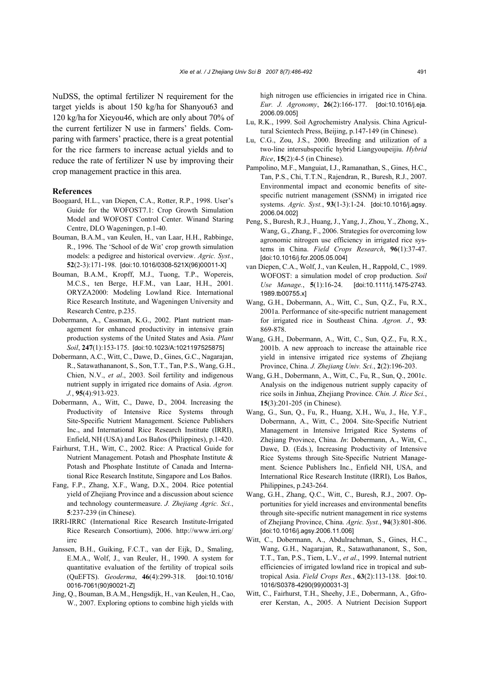NuDSS, the optimal fertilizer N requirement for the target yields is about 150 kg/ha for Shanyou63 and 120 kg/ha for Xieyou46, which are only about 70% of the current fertilizer N use in farmers' fields. Comparing with farmers' practice, there is a great potential for the rice farmers to increase actual yields and to reduce the rate of fertilizer N use by improving their crop management practice in this area.

## **References**

- Boogaard, H.L., van Diepen, C.A., Rotter, R.P., 1998. User's Guide for the WOFOST7.1: Crop Growth Simulation Model and WOFOST Control Center. Winand Staring Centre, DLO Wageningen, p.1-40.
- Bouman, B.A.M., van Keulen, H., van Laar, H.H., Rabbinge, R., 1996. The 'School of de Wit' crop growth simulation models: a pedigree and historical overview. *Agric. Syst.*, **52**(2-3):171-198. [doi:10.1016/0308-521X(96)00011-X]
- Bouman, B.A.M., Kropff, M.J., Tuong, T.P., Wopereis, M.C.S., ten Berge, H.F.M., van Laar, H.H., 2001. ORYZA2000: Modeling Lowland Rice. International Rice Research Institute, and Wageningen University and Research Centre, p.235.
- Dobermann, A., Cassman, K.G., 2002. Plant nutrient management for enhanced productivity in intensive grain production systems of the United States and Asia. *Plant Soil*, **247**(1):153-175. [doi:10.1023/A:1021197525875]
- Dobermann, A.C., Witt, C., Dawe, D., Gines, G.C., Nagarajan, R., Satawathananont, S., Son, T.T., Tan, P.S., Wang, G.H., Chien, N.V., *et al*., 2003. Soil fertility and indigenous nutrient supply in irrigated rice domains of Asia. *Agron. J.*, **95**(4):913-923.
- Dobermann, A., Witt, C., Dawe, D., 2004. Increasing the Productivity of Intensive Rice Systems through Site-Specific Nutrient Management. Science Publishers Inc., and International Rice Research Institute (IRRI), Enfield, NH (USA) and Los Baños (Philippines), p.1-420.
- Fairhurst, T.H., Witt, C., 2002. Rice: A Practical Guide for Nutrient Management. Potash and Phosphate Institute & Potash and Phosphate Institute of Canada and International Rice Research Institute, Singapore and Los Baños.
- Fang, F.P., Zhang, X.F., Wang, D.X., 2004. Rice potential yield of Zhejiang Province and a discussion about science and technology countermeasure. *J. Zhejiang Agric. Sci.*, **5**:237-239 (in Chinese).
- IRRI-IRRC (International Rice Research Institute-Irrigated Rice Research Consortium), 2006. http://www.irri.org/ irrc
- Janssen, B.H., Guiking, F.C.T., van der Eijk, D., Smaling, E.M.A., Wolf, J., van Reuler, H., 1990. A system for quantitative evaluation of the fertility of tropical soils (QuEFTS). *Geoderma*, **46**(4):299-318. [doi:10.1016/ 0016-7061(90)90021-Z]
- Jing, Q., Bouman, B.A.M., Hengsdijk, H., van Keulen, H., Cao, W., 2007. Exploring options to combine high yields with

high nitrogen use efficiencies in irrigated rice in China. *Eur. J. Agronomy*, **26**(2):166-177. [doi:10.1016/j.eja. 2006.09.005]

- Lu, R.K., 1999. Soil Agrochemistry Analysis. China Agricultural Scientech Press, Beijing, p.147-149 (in Chinese).
- Lu, C.G., Zou, J.S., 2000. Breeding and utilization of a two-line intersubspecific hybrid Liangyoupeijiu. *Hybrid Rice*, **15**(2):4-5 (in Chinese).
- Pampolino, M.F., Manguiat, I.J., Ramanathan, S., Gines, H.C., Tan, P.S., Chi, T.T.N., Rajendran, R., Buresh, R.J., 2007. Environmental impact and economic benefits of sitespecific nutrient management (SSNM) in irrigated rice systems. *Agric. Syst.*, **93**(1-3):1-24. [doi:10.1016/j.agsy. 2006.04.002]
- Peng, S., Buresh, R.J., Huang, J., Yang, J., Zhou, Y., Zhong, X., Wang, G., Zhang, F., 2006. Strategies for overcoming low agronomic nitrogen use efficiency in irrigated rice systems in China. *Field Crops Research*, **96**(1):37-47. [doi:10.1016/j.fcr.2005.05.004]
- van Diepen, C.A., Wolf, J., van Keulen, H., Rappold, C., 1989. WOFOST: a simulation model of crop production. *Soil Use Manage.*, **5**(1):16-24. [doi:10.1111/j.1475-2743. 1989.tb00755.x]
- Wang, G.H., Dobermann, A., Witt, C., Sun, Q.Z., Fu, R.X., 2001a. Performance of site-specific nutrient management for irrigated rice in Southeast China. *Agron. J.*, **93**: 869-878.
- Wang, G.H., Dobermann, A., Witt, C., Sun, Q.Z., Fu, R.X., 2001b. A new approach to increase the attainable rice yield in intensive irrigated rice systems of Zhejiang Province, China. *J. Zhejiang Univ. Sci.*, **2**(2):196-203.
- Wang, G.H., Dobermann, A., Witt, C., Fu, R., Sun, Q., 2001c. Analysis on the indigenous nutrient supply capacity of rice soils in Jinhua, Zhejiang Province. *Chin. J. Rice Sci.*, **15**(3):201-205 (in Chinese).
- Wang, G., Sun, Q., Fu, R., Huang, X.H., Wu, J., He, Y.F., Dobermann, A., Witt, C., 2004. Site-Specific Nutrient Management in Intensive Irrigated Rice Systems of Zhejiang Province, China. *In*: Dobermann, A., Witt, C., Dawe, D. (Eds.), Increasing Productivity of Intensive Rice Systems through Site-Specific Nutrient Management. Science Publishers Inc., Enfield NH, USA, and International Rice Research Institute (IRRI), Los Baños, Philippines, p.243-264.
- Wang, G.H., Zhang, Q.C., Witt, C., Buresh, R.J., 2007. Opportunities for yield increases and environmental benefits through site-specific nutrient management in rice systems of Zhejiang Province, China. *Agric. Syst.*, **94**(3):801-806. [doi:10.1016/j.agsy.2006.11.006]
- Witt, C., Dobermann, A., Abdulrachman, S., Gines, H.C., Wang, G.H., Nagarajan, R., Satawathananont, S., Son, T.T., Tan, P.S., Tiem, L.V., *et al*., 1999. Internal nutrient efficiencies of irrigated lowland rice in tropical and subtropical Asia. *Field Crops Res.*, **63**(2):113-138. [doi:10. 1016/S0378-4290(99)00031-3]
- Witt, C., Fairhurst, T.H., Sheehy, J.E., Dobermann, A., Gfroerer Kerstan, A., 2005. A Nutrient Decision Support